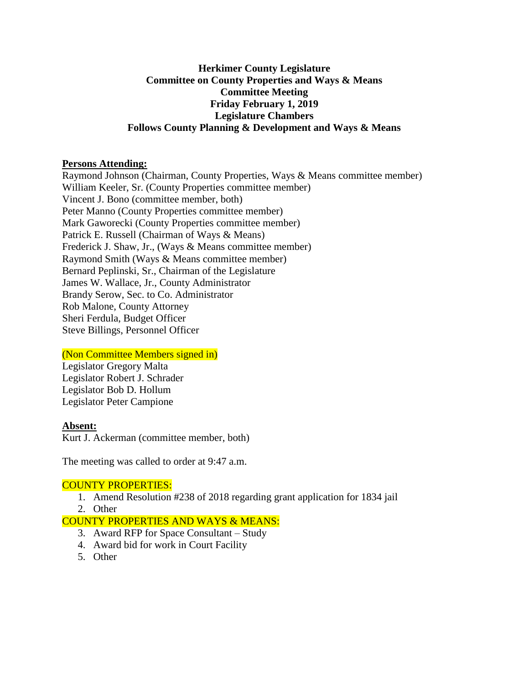# **Herkimer County Legislature Committee on County Properties and Ways & Means Committee Meeting Friday February 1, 2019 Legislature Chambers Follows County Planning & Development and Ways & Means**

### **Persons Attending:**

Raymond Johnson (Chairman, County Properties, Ways & Means committee member) William Keeler, Sr. (County Properties committee member) Vincent J. Bono (committee member, both) Peter Manno (County Properties committee member) Mark Gaworecki (County Properties committee member) Patrick E. Russell (Chairman of Ways & Means) Frederick J. Shaw, Jr., (Ways & Means committee member) Raymond Smith (Ways & Means committee member) Bernard Peplinski, Sr., Chairman of the Legislature James W. Wallace, Jr., County Administrator Brandy Serow, Sec. to Co. Administrator Rob Malone, County Attorney Sheri Ferdula, Budget Officer Steve Billings, Personnel Officer

### (Non Committee Members signed in)

Legislator Gregory Malta Legislator Robert J. Schrader Legislator Bob D. Hollum Legislator Peter Campione

### **Absent:**

Kurt J. Ackerman (committee member, both)

The meeting was called to order at 9:47 a.m.

#### COUNTY PROPERTIES:

- 1. Amend Resolution #238 of 2018 regarding grant application for 1834 jail
- 2. Other

### COUNTY PROPERTIES AND WAYS & MEANS:

- 3. Award RFP for Space Consultant Study
- 4. Award bid for work in Court Facility
- 5. Other